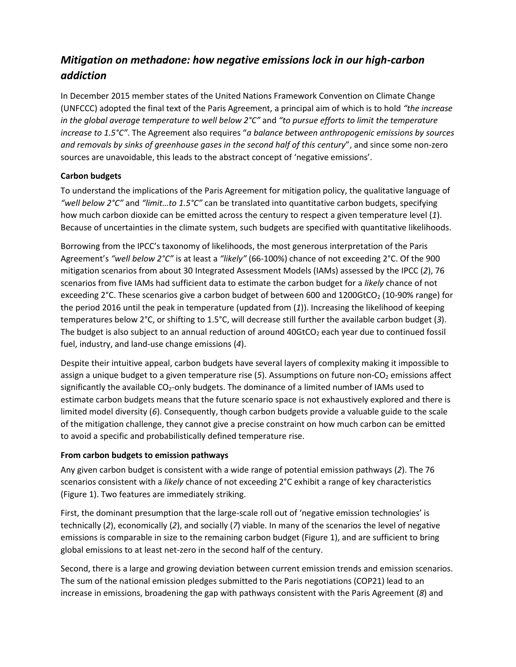# *Mitigation on methadone: how negative emissions lock in our high-carbon addiction*

In December 2015 member states of the United Nations Framework Convention on Climate Change (UNFCCC) adopted the final text of the Paris Agreement, a principal aim of which is to hold *"the increase in the global average temperature to well below 2°C"* and *"to pursue efforts to limit the temperature increase to 1.5°C"*. The Agreement also requires "*a balance between anthropogenic emissions by sources and removals by sinks of greenhouse gases in the second half of this century*", and since some non-zero sources are unavoidable, this leads to the abstract concept of 'negative emissions'.

# **Carbon budgets**

To understand the implications of the Paris Agreement for mitigation policy, the qualitative language of *"well below 2°C"* and *"limit…to 1.5°C"* can be translated into quantitative carbon budgets, specifying how much carbon dioxide can be emitted across the century to respect a given temperature level (*1*). Because of uncertainties in the climate system, such budgets are specified with quantitative likelihoods.

Borrowing from the IPCC's taxonomy of likelihoods, the most generous interpretation of the Paris Agreement's *"well below 2°C"* is at least a *"likely"* (66-100%) chance of not exceeding 2°C. Of the 900 mitigation scenarios from about 30 Integrated Assessment Models (IAMs) assessed by the IPCC (*2*), 76 scenarios from five IAMs had sufficient data to estimate the carbon budget for a *likely* chance of not exceeding 2°C. These scenarios give a carbon budget of between 600 and 1200GtCO<sub>2</sub> (10-90% range) for the period 2016 until the peak in temperature (updated from (*1*)). Increasing the likelihood of keeping temperatures below 2°C, or shifting to 1.5°C, will decrease still further the available carbon budget (*3*). The budget is also subject to an annual reduction of around  $40GtCO<sub>2</sub>$  each year due to continued fossil fuel, industry, and land-use change emissions (*4*).

Despite their intuitive appeal, carbon budgets have several layers of complexity making it impossible to assign a unique budget to a given temperature rise (5). Assumptions on future non-CO<sub>2</sub> emissions affect significantly the available  $CO<sub>2</sub>$ -only budgets. The dominance of a limited number of IAMs used to estimate carbon budgets means that the future scenario space is not exhaustively explored and there is limited model diversity (*6*). Consequently, though carbon budgets provide a valuable guide to the scale of the mitigation challenge, they cannot give a precise constraint on how much carbon can be emitted to avoid a specific and probabilistically defined temperature rise.

## **From carbon budgets to emission pathways**

Any given carbon budget is consistent with a wide range of potential emission pathways (*2*). The 76 scenarios consistent with a *likely* chance of not exceeding 2°C exhibit a range of key characteristics (Figure 1). Two features are immediately striking.

First, the dominant presumption that the large-scale roll out of 'negative emission technologies' is technically (*2*), economically (*2*), and socially (*7*) viable. In many of the scenarios the level of negative emissions is comparable in size to the remaining carbon budget (Figure 1), and are sufficient to bring global emissions to at least net-zero in the second half of the century.

Second, there is a large and growing deviation between current emission trends and emission scenarios. The sum of the national emission pledges submitted to the Paris negotiations (COP21) lead to an increase in emissions, broadening the gap with pathways consistent with the Paris Agreement (*8*) and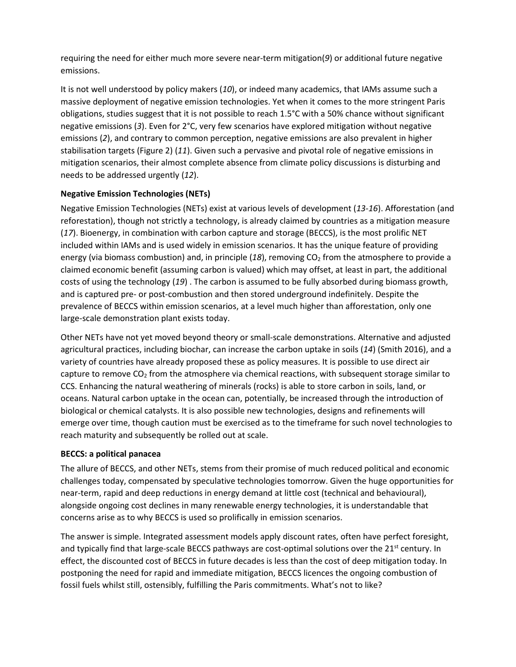requiring the need for either much more severe near-term mitigation(*9*) or additional future negative emissions.

It is not well understood by policy makers (*10*), or indeed many academics, that IAMs assume such a massive deployment of negative emission technologies. Yet when it comes to the more stringent Paris obligations, studies suggest that it is not possible to reach 1.5°C with a 50% chance without significant negative emissions (*3*). Even for 2°C, very few scenarios have explored mitigation without negative emissions (*2*), and contrary to common perception, negative emissions are also prevalent in higher stabilisation targets (Figure 2) (*11*). Given such a pervasive and pivotal role of negative emissions in mitigation scenarios, their almost complete absence from climate policy discussions is disturbing and needs to be addressed urgently (*12*).

# **Negative Emission Technologies (NETs)**

Negative Emission Technologies (NETs) exist at various levels of development (*13-16*). Afforestation (and reforestation), though not strictly a technology, is already claimed by countries as a mitigation measure (*17*). Bioenergy, in combination with carbon capture and storage (BECCS), is the most prolific NET included within IAMs and is used widely in emission scenarios. It has the unique feature of providing energy (via biomass combustion) and, in principle  $(18)$ , removing  $CO<sub>2</sub>$  from the atmosphere to provide a claimed economic benefit (assuming carbon is valued) which may offset, at least in part, the additional costs of using the technology (*19*) . The carbon is assumed to be fully absorbed during biomass growth, and is captured pre- or post-combustion and then stored underground indefinitely. Despite the prevalence of BECCS within emission scenarios, at a level much higher than afforestation, only one large-scale demonstration plant exists today.

Other NETs have not yet moved beyond theory or small-scale demonstrations. Alternative and adjusted agricultural practices, including biochar, can increase the carbon uptake in soils (*14*) (Smith 2016), and a variety of countries have already proposed these as policy measures. It is possible to use direct air capture to remove  $CO<sub>2</sub>$  from the atmosphere via chemical reactions, with subsequent storage similar to CCS. Enhancing the natural weathering of minerals (rocks) is able to store carbon in soils, land, or oceans. Natural carbon uptake in the ocean can, potentially, be increased through the introduction of biological or chemical catalysts. It is also possible new technologies, designs and refinements will emerge over time, though caution must be exercised as to the timeframe for such novel technologies to reach maturity and subsequently be rolled out at scale.

## **BECCS: a political panacea**

The allure of BECCS, and other NETs, stems from their promise of much reduced political and economic challenges today, compensated by speculative technologies tomorrow. Given the huge opportunities for near-term, rapid and deep reductions in energy demand at little cost (technical and behavioural), alongside ongoing cost declines in many renewable energy technologies, it is understandable that concerns arise as to why BECCS is used so prolifically in emission scenarios.

The answer is simple. Integrated assessment models apply discount rates, often have perfect foresight, and typically find that large-scale BECCS pathways are cost-optimal solutions over the  $21<sup>st</sup>$  century. In effect, the discounted cost of BECCS in future decades is less than the cost of deep mitigation today. In postponing the need for rapid and immediate mitigation, BECCS licences the ongoing combustion of fossil fuels whilst still, ostensibly, fulfilling the Paris commitments. What's not to like?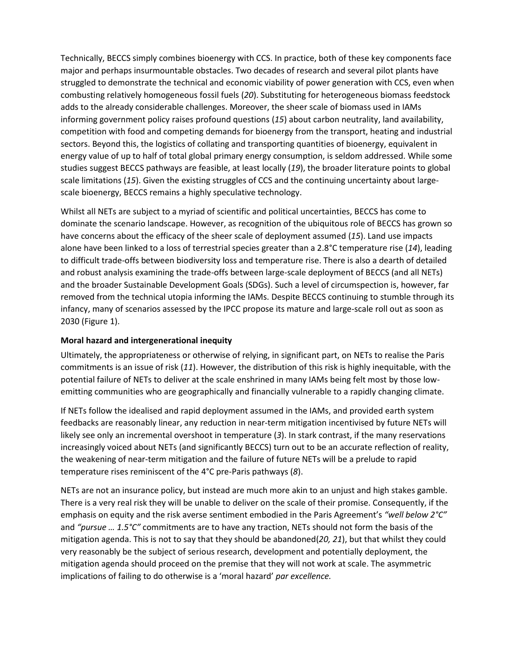Technically, BECCS simply combines bioenergy with CCS. In practice, both of these key components face major and perhaps insurmountable obstacles. Two decades of research and several pilot plants have struggled to demonstrate the technical and economic viability of power generation with CCS, even when combusting relatively homogeneous fossil fuels (*20*). Substituting for heterogeneous biomass feedstock adds to the already considerable challenges. Moreover, the sheer scale of biomass used in IAMs informing government policy raises profound questions (*15*) about carbon neutrality, land availability, competition with food and competing demands for bioenergy from the transport, heating and industrial sectors. Beyond this, the logistics of collating and transporting quantities of bioenergy, equivalent in energy value of up to half of total global primary energy consumption, is seldom addressed. While some studies suggest BECCS pathways are feasible, at least locally (*19*), the broader literature points to global scale limitations (*15*). Given the existing struggles of CCS and the continuing uncertainty about largescale bioenergy, BECCS remains a highly speculative technology.

Whilst all NETs are subject to a myriad of scientific and political uncertainties, BECCS has come to dominate the scenario landscape. However, as recognition of the ubiquitous role of BECCS has grown so have concerns about the efficacy of the sheer scale of deployment assumed (*15*). Land use impacts alone have been linked to a loss of terrestrial species greater than a 2.8°C temperature rise (*14*), leading to difficult trade-offs between biodiversity loss and temperature rise. There is also a dearth of detailed and robust analysis examining the trade-offs between large-scale deployment of BECCS (and all NETs) and the broader Sustainable Development Goals (SDGs). Such a level of circumspection is, however, far removed from the technical utopia informing the IAMs. Despite BECCS continuing to stumble through its infancy, many of scenarios assessed by the IPCC propose its mature and large-scale roll out as soon as 2030 (Figure 1).

## **Moral hazard and intergenerational inequity**

Ultimately, the appropriateness or otherwise of relying, in significant part, on NETs to realise the Paris commitments is an issue of risk (*11*). However, the distribution of this risk is highly inequitable, with the potential failure of NETs to deliver at the scale enshrined in many IAMs being felt most by those lowemitting communities who are geographically and financially vulnerable to a rapidly changing climate.

If NETs follow the idealised and rapid deployment assumed in the IAMs, and provided earth system feedbacks are reasonably linear, any reduction in near-term mitigation incentivised by future NETs will likely see only an incremental overshoot in temperature (*3*). In stark contrast, if the many reservations increasingly voiced about NETs (and significantly BECCS) turn out to be an accurate reflection of reality, the weakening of near-term mitigation and the failure of future NETs will be a prelude to rapid temperature rises reminiscent of the 4°C pre-Paris pathways (*8*).

NETs are not an insurance policy, but instead are much more akin to an unjust and high stakes gamble. There is a very real risk they will be unable to deliver on the scale of their promise. Consequently, if the emphasis on equity and the risk averse sentiment embodied in the Paris Agreement's *"well below 2°C"* and *"pursue … 1.5°C"* commitments are to have any traction, NETs should not form the basis of the mitigation agenda. This is not to say that they should be abandoned(*20, 21*), but that whilst they could very reasonably be the subject of serious research, development and potentially deployment, the mitigation agenda should proceed on the premise that they will not work at scale. The asymmetric implications of failing to do otherwise is a 'moral hazard' *par excellence.*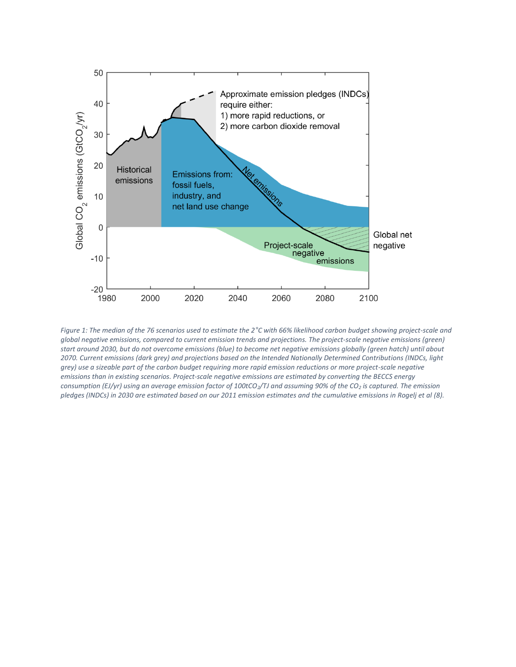

*Figure 1: The median of the 76 scenarios used to estimate the 2°C with 66% likelihood carbon budget showing project-scale and global negative emissions, compared to current emission trends and projections. The project-scale negative emissions (green) start around 2030, but do not overcome emissions (blue) to become net negative emissions globally (green hatch) until about 2070. Current emissions (dark grey) and projections based on the Intended Nationally Determined Contributions (INDCs, light grey) use a sizeable part of the carbon budget requiring more rapid emission reductions or more project-scale negative emissions than in existing scenarios. Project-scale negative emissions are estimated by converting the BECCS energy consumption (EJ/yr) using an average emission factor of 100tCO2/TJ and assuming 90% of the CO<sup>2</sup> is captured. The emission pledges (INDCs) in 2030 are estimated based on our 2011 emission estimates and the cumulative emissions in Rogelj et al (8).*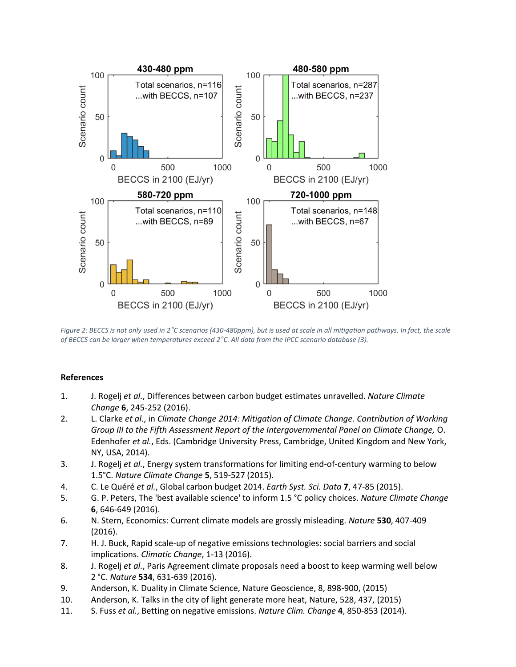

*Figure 2: BECCS is not only used in 2°C scenarios (430-480ppm), but is used at scale in all mitigation pathways. In fact, the scale of BECCS can be larger when temperatures exceed 2°C. All data from the IPCC scenario database (3).*

#### **References**

- 1. J. Rogelj *et al.*, Differences between carbon budget estimates unravelled. *Nature Climate Change* **6**, 245-252 (2016).
- 2. L. Clarke *et al.*, in *Climate Change 2014: Mitigation of Climate Change. Contribution of Working Group III to the Fifth Assessment Report of the Intergovernmental Panel on Climate Change,* O. Edenhofer *et al.*, Eds. (Cambridge University Press, Cambridge, United Kingdom and New York, NY, USA, 2014).
- 3. J. Rogelj *et al.*, Energy system transformations for limiting end-of-century warming to below 1.5°C. *Nature Climate Change* **5**, 519-527 (2015).
- 4. C. Le Quéré *et al.*, Global carbon budget 2014. *Earth Syst. Sci. Data* **7**, 47-85 (2015).
- 5. G. P. Peters, The 'best available science' to inform 1.5 °C policy choices. *Nature Climate Change* **6**, 646-649 (2016).
- 6. N. Stern, Economics: Current climate models are grossly misleading. *Nature* **530**, 407-409 (2016).
- 7. H. J. Buck, Rapid scale-up of negative emissions technologies: social barriers and social implications. *Climatic Change*, 1-13 (2016).
- 8. J. Rogelj *et al.*, Paris Agreement climate proposals need a boost to keep warming well below 2 °C. *Nature* **534**, 631-639 (2016).
- 9. Anderson, K. Duality in Climate Science, Nature Geoscience, 8, 898-900, (2015)
- 10. Anderson, K. Talks in the city of light generate more heat, Nature, 528, 437, (2015)
- 11. S. Fuss *et al.*, Betting on negative emissions. *Nature Clim. Change* **4**, 850-853 (2014).